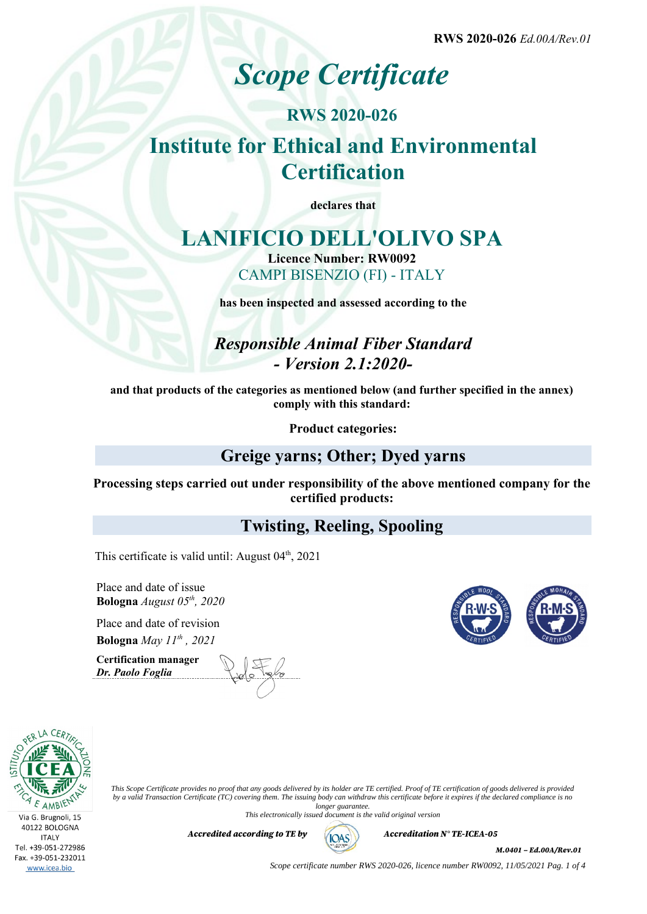**RWS 2020-026** *Ed.00A/Rev.01*

# *Scope Certificate*

## **RWS 2020-026 Institute for Ethical and Environmental Certification**

**declares that**

## **LANIFICIO DELL'OLIVO SPA**

**Licence Number: RW0092** CAMPI BISENZIO (FI) - ITALY

**has been inspected and assessed according to the**

## *Responsible Animal Fiber Standard - Version 2.1:2020-*

**and that products of the categories as mentioned below (and further specified in the annex) comply with this standard:**

**Product categories:**

## **Greige yarns; Other; Dyed yarns**

**Processing steps carried out under responsibility of the above mentioned company for the certified products:**

### **Twisting, Reeling, Spooling**

This certificate is valid until: August  $04<sup>th</sup>$ , 2021

Place and date of issue **Bologna** *August 05th, 2020*

Place and date of revision **Bologna** *May 11th , 2021*

**Certification manager** *Dr. Paolo Foglia*







www.icea.bio

*This Scope Certificate provides no proof that any goods delivered by its holder are TE certified. Proof of TE certification of goods delivered is provided by a valid Transaction Certificate (TC) covering them. The issuing body can withdraw this certificate before it expires if the declared compliance is no longer guarantee.*

*This electronically issued document is the valid original version*

*Accredited according to TE by*  $(AOS)$  *Accreditation N° TE-ICEA-05* 



*M.0401 – Ed.00A/Rev.01*

*Scope certificate number RWS 2020-026, licence number RW0092, 11/05/2021 Pag. 1 of 4*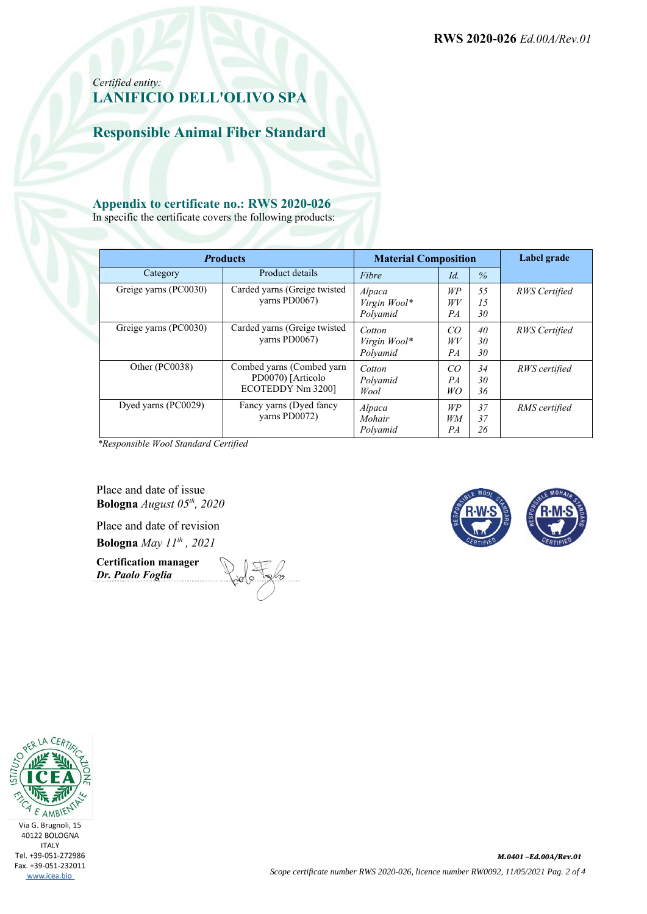**RWS 2020-026** *Ed.00A/Rev.01*

#### *Certified entity:* **LANIFICIO DELL'OLIVO SPA**

**Responsible Animal Fiber Standard**

#### **Appendix to certificate no.: RWS 2020-026**

In specific the certificate covers the following products:

|  | <b>Products</b>       |                                                                      | <b>Material Composition</b>        |                       |                | Label grade   |
|--|-----------------------|----------------------------------------------------------------------|------------------------------------|-----------------------|----------------|---------------|
|  | Category              | Product details                                                      | Fibre                              | Id.                   | $\%$           |               |
|  | Greige yarns (PC0030) | Carded yarns (Greige twisted<br>varns PD0067)                        | Alpaca<br>Virgin Wool*<br>Polvamid | WP<br>W V<br>PA       | 55<br>15<br>30 | RWS Certified |
|  | Greige yarns (PC0030) | Carded yarns (Greige twisted<br>varns PD0067)                        | Cotton<br>Virgin Wool*<br>Polyamid | CO<br>W V<br>PA       | 40<br>30<br>30 | RWS Certified |
|  | Other (PC0038)        | Combed yarns (Combed yarn<br>PD0070) [Articolo]<br>ECOTEDDY Nm 3200] | Cotton<br>Polvamid<br>Wool         | CO<br>PA<br>WO        | 34<br>30<br>36 | RWS certified |
|  | Dyed yarns (PC0029)   | Fancy yarns (Dyed fancy<br>varns PD0072)                             | Alpaca<br>Mohair<br>Polvamid       | WP<br><b>WM</b><br>PA | 37<br>37<br>26 | RMS certified |

*\*Responsible Wool Standard Certified*

Place and date of issue **Bologna** *August 05th, 2020*

Place and date of revision **Bologna** *May 11th , 2021*

**Certification manager** *Dr. Paolo Foglia*



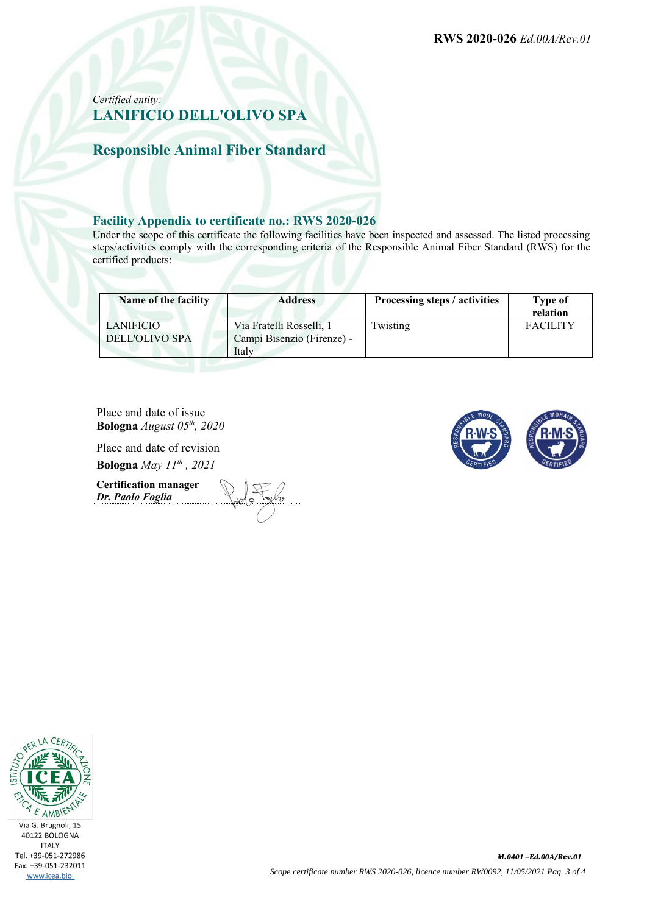#### *Certified entity:* **LANIFICIO DELL'OLIVO SPA**

**Responsible Animal Fiber Standard**

#### **Facility Appendix to certificate no.: RWS 2020-026**

Under the scope of this certificate the following facilities have been inspected and assessed. The listed processing steps/activities comply with the corresponding criteria of the Responsible Animal Fiber Standard (RWS) for the certified products:

| Name of the facility | <b>Address</b>             | Processing steps / activities | Type of<br>relation |
|----------------------|----------------------------|-------------------------------|---------------------|
| LANIFICIO            | Via Fratelli Rosselli, 1   | Twisting                      | <b>FACILITY</b>     |
| DELL'OLIVO SPA       | Campi Bisenzio (Firenze) - |                               |                     |
|                      | Italy                      |                               |                     |

Place and date of issue **Bologna** *August 05th, 2020*

Place and date of revision **Bologna** *May 11th , 2021*

**Certification manager** *Dr. Paolo Foglia*